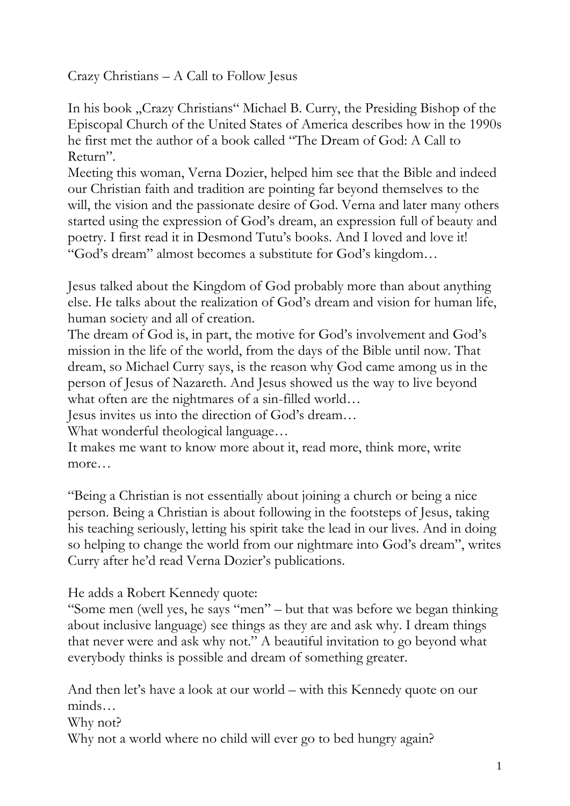Crazy Christians – A Call to Follow Jesus

In his book "Crazy Christians" Michael B. Curry, the Presiding Bishop of the Episcopal Church of the United States of America describes how in the 1990s he first met the author of a book called "The Dream of God: A Call to Return".

Meeting this woman, Verna Dozier, helped him see that the Bible and indeed our Christian faith and tradition are pointing far beyond themselves to the will, the vision and the passionate desire of God. Verna and later many others started using the expression of God's dream, an expression full of beauty and poetry. I first read it in Desmond Tutu's books. And I loved and love it! "God's dream" almost becomes a substitute for God's kingdom…

Jesus talked about the Kingdom of God probably more than about anything else. He talks about the realization of God's dream and vision for human life, human society and all of creation.

The dream of God is, in part, the motive for God's involvement and God's mission in the life of the world, from the days of the Bible until now. That dream, so Michael Curry says, is the reason why God came among us in the person of Jesus of Nazareth. And Jesus showed us the way to live beyond what often are the nightmares of a sin-filled world…

Jesus invites us into the direction of God's dream…

What wonderful theological language...

It makes me want to know more about it, read more, think more, write more…

"Being a Christian is not essentially about joining a church or being a nice person. Being a Christian is about following in the footsteps of Jesus, taking his teaching seriously, letting his spirit take the lead in our lives. And in doing so helping to change the world from our nightmare into God's dream", writes Curry after he'd read Verna Dozier's publications.

He adds a Robert Kennedy quote:

"Some men (well yes, he says "men" – but that was before we began thinking about inclusive language) see things as they are and ask why. I dream things that never were and ask why not." A beautiful invitation to go beyond what everybody thinks is possible and dream of something greater.

And then let's have a look at our world – with this Kennedy quote on our minds…

Why not?

Why not a world where no child will ever go to bed hungry again?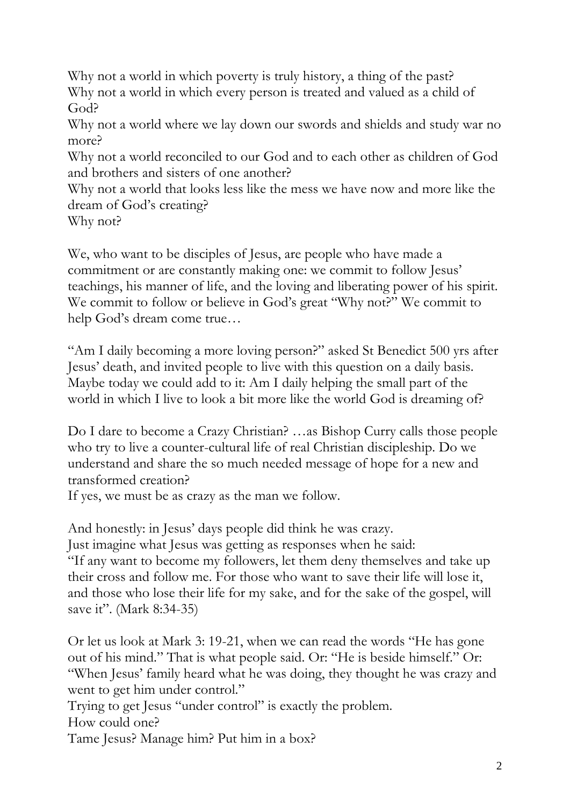Why not a world in which poverty is truly history, a thing of the past? Why not a world in which every person is treated and valued as a child of God?

Why not a world where we lay down our swords and shields and study war no more?

Why not a world reconciled to our God and to each other as children of God and brothers and sisters of one another?

Why not a world that looks less like the mess we have now and more like the dream of God's creating?

Why not?

We, who want to be disciples of Jesus, are people who have made a commitment or are constantly making one: we commit to follow Jesus' teachings, his manner of life, and the loving and liberating power of his spirit. We commit to follow or believe in God's great "Why not?" We commit to help God's dream come true…

"Am I daily becoming a more loving person?" asked St Benedict 500 yrs after Jesus' death, and invited people to live with this question on a daily basis. Maybe today we could add to it: Am I daily helping the small part of the world in which I live to look a bit more like the world God is dreaming of?

Do I dare to become a Crazy Christian? …as Bishop Curry calls those people who try to live a counter-cultural life of real Christian discipleship. Do we understand and share the so much needed message of hope for a new and transformed creation?

If yes, we must be as crazy as the man we follow.

And honestly: in Jesus' days people did think he was crazy.

Just imagine what Jesus was getting as responses when he said:

"If any want to become my followers, let them deny themselves and take up their cross and follow me. For those who want to save their life will lose it, and those who lose their life for my sake, and for the sake of the gospel, will save it". (Mark 8:34-35)

Or let us look at Mark 3: 19-21, when we can read the words "He has gone out of his mind." That is what people said. Or: "He is beside himself." Or: "When Jesus' family heard what he was doing, they thought he was crazy and went to get him under control." Trying to get Jesus "under control" is exactly the problem.

How could one?

Tame Jesus? Manage him? Put him in a box?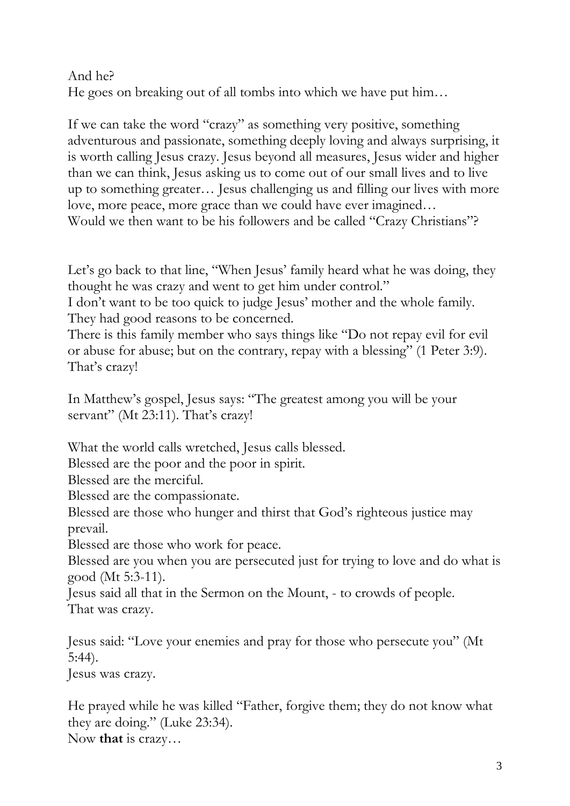## And he? He goes on breaking out of all tombs into which we have put him…

If we can take the word "crazy" as something very positive, something adventurous and passionate, something deeply loving and always surprising, it is worth calling Jesus crazy. Jesus beyond all measures, Jesus wider and higher than we can think, Jesus asking us to come out of our small lives and to live up to something greater… Jesus challenging us and filling our lives with more love, more peace, more grace than we could have ever imagined… Would we then want to be his followers and be called "Crazy Christians"?

Let's go back to that line, "When Jesus' family heard what he was doing, they thought he was crazy and went to get him under control."

I don't want to be too quick to judge Jesus' mother and the whole family. They had good reasons to be concerned.

There is this family member who says things like "Do not repay evil for evil or abuse for abuse; but on the contrary, repay with a blessing" (1 Peter 3:9). That's crazy!

In Matthew's gospel, Jesus says: "The greatest among you will be your servant" (Mt 23:11). That's crazy!

What the world calls wretched, Jesus calls blessed.

Blessed are the poor and the poor in spirit.

Blessed are the merciful.

Blessed are the compassionate.

Blessed are those who hunger and thirst that God's righteous justice may prevail.

Blessed are those who work for peace.

Blessed are you when you are persecuted just for trying to love and do what is good (Mt 5:3-11).

Jesus said all that in the Sermon on the Mount, - to crowds of people. That was crazy.

Jesus said: "Love your enemies and pray for those who persecute you" (Mt 5:44).

Jesus was crazy.

He prayed while he was killed "Father, forgive them; they do not know what they are doing." (Luke 23:34). Now **that** is crazy…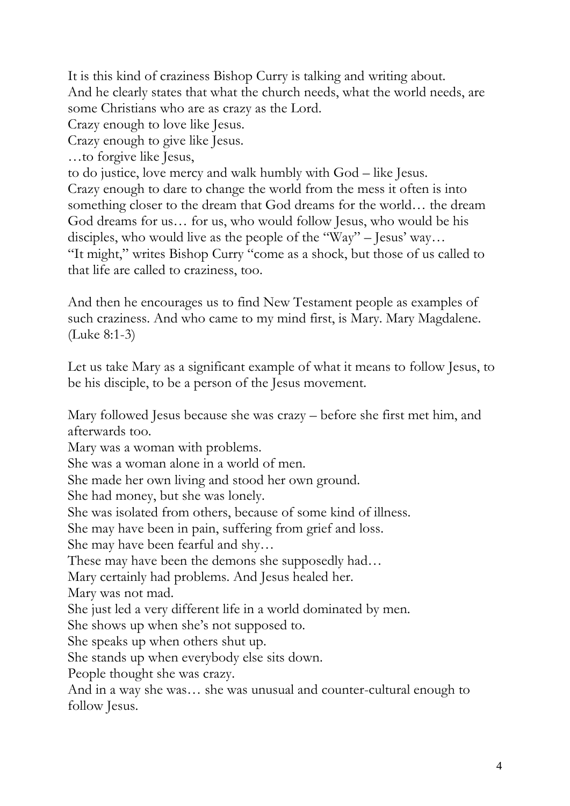It is this kind of craziness Bishop Curry is talking and writing about. And he clearly states that what the church needs, what the world needs, are some Christians who are as crazy as the Lord.

Crazy enough to love like Jesus.

Crazy enough to give like Jesus.

…to forgive like Jesus,

to do justice, love mercy and walk humbly with God – like Jesus.

Crazy enough to dare to change the world from the mess it often is into something closer to the dream that God dreams for the world… the dream God dreams for us… for us, who would follow Jesus, who would be his disciples, who would live as the people of the "Way" – Jesus' way... "It might," writes Bishop Curry "come as a shock, but those of us called to that life are called to craziness, too.

And then he encourages us to find New Testament people as examples of such craziness. And who came to my mind first, is Mary. Mary Magdalene. (Luke 8:1-3)

Let us take Mary as a significant example of what it means to follow Jesus, to be his disciple, to be a person of the Jesus movement.

Mary followed Jesus because she was crazy – before she first met him, and afterwards too.

Mary was a woman with problems.

She was a woman alone in a world of men.

She made her own living and stood her own ground.

She had money, but she was lonely.

She was isolated from others, because of some kind of illness.

She may have been in pain, suffering from grief and loss.

She may have been fearful and shy…

These may have been the demons she supposedly had…

Mary certainly had problems. And Jesus healed her.

Mary was not mad.

She just led a very different life in a world dominated by men.

She shows up when she's not supposed to.

She speaks up when others shut up.

She stands up when everybody else sits down.

People thought she was crazy.

And in a way she was… she was unusual and counter-cultural enough to follow Jesus.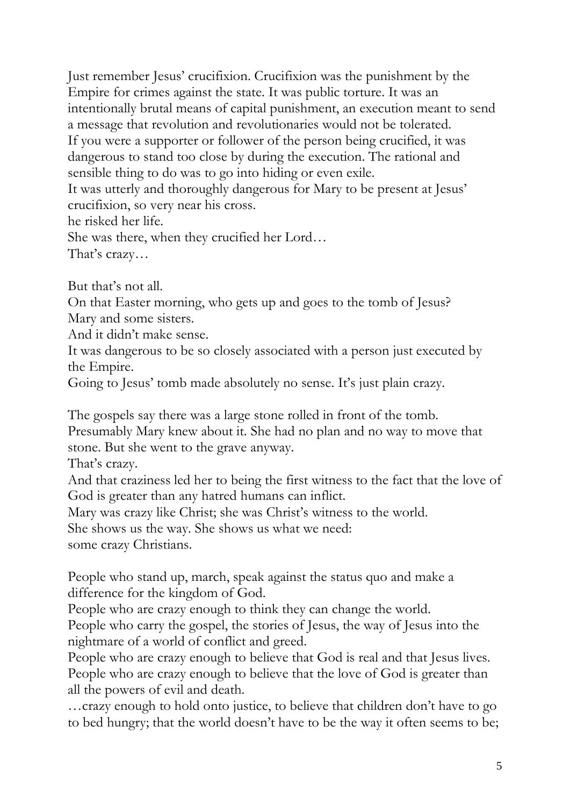Just remember Jesus' crucifixion. Crucifixion was the punishment by the Empire for crimes against the state. It was public torture. It was an intentionally brutal means of capital punishment, an execution meant to send a message that revolution and revolutionaries would not be tolerated. If you were a supporter or follower of the person being crucified, it was dangerous to stand too close by during the execution. The rational and sensible thing to do was to go into hiding or even exile. It was utterly and thoroughly dangerous for Mary to be present at Jesus' crucifixion, so very near his cross. he risked her life. She was there, when they crucified her Lord…

That's crazy…

But that's not all.

On that Easter morning, who gets up and goes to the tomb of Jesus? Mary and some sisters.

And it didn't make sense.

It was dangerous to be so closely associated with a person just executed by the Empire.

Going to Jesus' tomb made absolutely no sense. It's just plain crazy.

The gospels say there was a large stone rolled in front of the tomb. Presumably Mary knew about it. She had no plan and no way to move that stone. But she went to the grave anyway.

That's crazy.

And that craziness led her to being the first witness to the fact that the love of God is greater than any hatred humans can inflict.

Mary was crazy like Christ; she was Christ's witness to the world.

She shows us the way. She shows us what we need:

some crazy Christians.

People who stand up, march, speak against the status quo and make a difference for the kingdom of God.

People who are crazy enough to think they can change the world.

People who carry the gospel, the stories of Jesus, the way of Jesus into the nightmare of a world of conflict and greed.

People who are crazy enough to believe that God is real and that Jesus lives. People who are crazy enough to believe that the love of God is greater than all the powers of evil and death.

…crazy enough to hold onto justice, to believe that children don't have to go to bed hungry; that the world doesn't have to be the way it often seems to be;